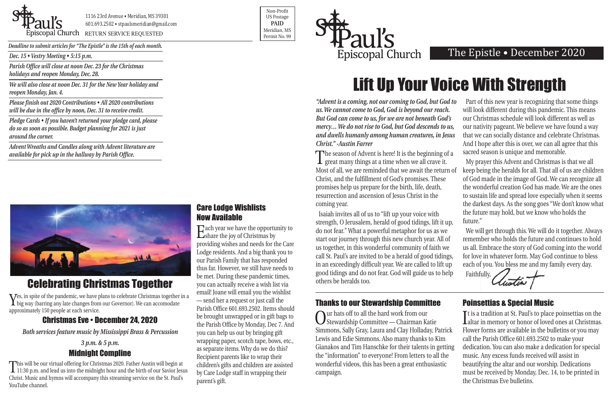*Dec. 15 • Vestry Meeting • 5:15 p.m.*

*Parish Office will close at noon Dec. 23 for the Christmas holidays and reopen Monday, Dec. 28.*

*We will also close at noon Dec. 31 for the New Year holiday and reopen Monday, Jan. 4.*

*Please finish out 2020 Contributions • All 2020 contributions will be due in the office by noon, Dec. 31 to receive credit.* 

*Pledge Cards • If you haven't returned your pledge card, please do so as soon as possible. Budget planning for 2021 is just around the corner.* 

*Advent Wreaths and Candles along with Advent literature are available for pick up in the hallway by Parish Office.* 





Piscopal Church RETURN SERVICE REQUESTED

Non-Profit US Postage **PAID** Meridian, MS



*Deadline to submit articles for "The Epistle" is the 15th of each month.* 

## The Epistle • December 2020

## Celebrating Christmas Together

Yes, in spite of the pandemic, we have plans to celebrate Christmas together in a big way (barring any late changes from our Governor). We can accomodate approximately 150 people at each service.

## Christmas Eve • December 24, 2020

*Both services feature music by Mississippi Brass & Percussion*

### *3 p.m. & 5 p.m.* Midnight Compline

This will be our virtual offering for Christmas 2020. Father Austin will begin at 11:30 p.m. and lead us into the midnight hour and the birth of our Savior Jesus Christ. Music and hymns will accompany this streaming service on the St. Paul's YouTube channel.

The season of Advent is here! It is the beginning of a<br>great many things at a time when we all crave it. Most of all, we are reminded that we await the return of Christ, and the fulfillment of God's promises. These promises help us prepare for the birth, life, death, resurrection and ascension of Jesus Christ in the coming year. Isaiah invites all of us to "lift up your voice with My prayer this Advent and Christmas is that we all keep being the heralds for all. That all of us are children of God made in the image of God. We can recognize all the wonderful creation God has made. We are the ones to sustain life and spread love especially when it seems the darkest days. As the song goes "We don't know what the future may hold, but we know who holds the future."

*"Advent is a coming, not our coming to God, but God to us. We cannot come to God, God is beyond our reach. But God can come to us, for we are not beneath God's mercy… We do not rise to God, but God descends to us, and dwells humanly among human creatures, in Jesus Christ." -Austin Farrer* Part of this new year is recognizing that some things will look different during this pandemic. This means our Christmas schedule will look different as well as our nativity pageant. We believe we have found a way that we can socially distance and celebrate Christmas. And I hope after this is over, we can all agree that this sacred season is unique and memorable.

strength, O Jerusalem, herald of good tidings, lift it up, do not fear." What a powerful metaphor for us as we start our journey through this new church year. All of us together, in this wonderful community of faith we call St. Paul's are invited to be a herald of good tidings, in an exceedingly difficult year. We are called to lift up good tidings and do not fear. God will guide us to help others be heralds too. Faithfully,

We will get through this. We will do it together. Always remember who holds the future and continues to hold us all. Embrace the story of God coming into the world for love in whatever form. May God continue to bless each of you. You bless me and my family every day.



# Lift Up Your Voice With Strength

### Care Lodge Wishlists Now Available

Each year we have the opportunity to share the joy of Christmas by providing wishes and needs for the Care Lodge residents. And a big thank you to our Parish Family that has responded thus far. However, we still have needs to be met. During these pandemic times, you can actually receive a wish list via email! Joane will email you the wishlist — send her a request or just call the Parish Office 601.693.2502. Items should be brought unwrapped or in gift bags to the Parish Office by Monday, Dec 7. And you can help us out by bringing gift wrapping paper, scotch tape, bows, etc., as separate items. Why do we do this? Recipient parents like to wrap their children's gifts and children are assisted by Care Lodge staff in wrapping their parent's gift.

## Thanks to our Stewardship Committee

### Poinsettias & Special Music

Our hats off to all the hard work from our Stewardship Committee — Chairman Katie Simmons, Sally Gray, Laura and Clay Holladay, Patrick Lewis and Edie Simmons. Also many thanks to Kim Gianakos and Tim Hanschke for their talents in getting the "information" to everyone! From letters to all the wonderful videos, this has been a great enthusiastic campaign. It is a tradition at St. Paul s to place poinsettias on the<br>altar in memory or honor of loved ones at Christmas. **T** t is a tradition at St. Paul's to place poinsettias on the Flower forms are available in the bulletins or you may call the Parish Office 601.693.2502 to make your dedication. You can also make a dedication for special music. Any excess funds received will assist in beautifying the altar and our worship. Dedications must be received by Monday, Dec. 14, to be printed in the Christmas Eve bulletins.